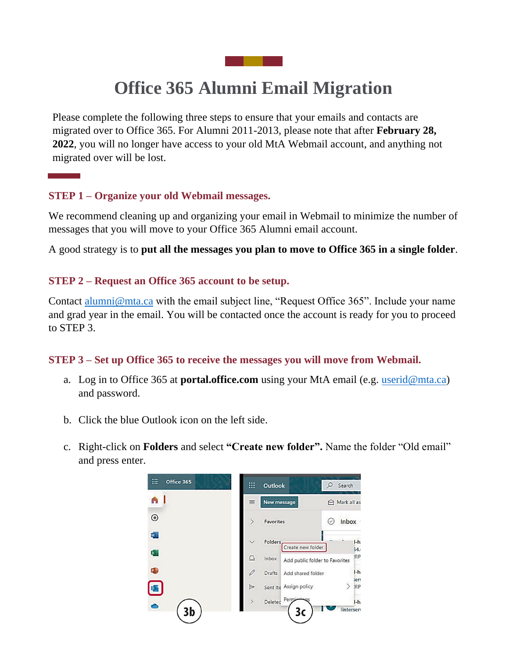# **Office 365 Alumni Email Migration**

Please complete the following three steps to ensure that your emails and contacts are migrated over to Office 365. For Alumni 2011-2013, please note that after **February 28, 2022**, you will no longer have access to your old MtA Webmail account, and anything not migrated over will be lost.

### **STEP 1 – Organize your old Webmail messages.**

We recommend cleaning up and organizing your email in Webmail to minimize the number of messages that you will move to your Office 365 Alumni email account.

A good strategy is to **put all the messages you plan to move to Office 365 in a single folder**.

### **STEP 2 – Request an Office 365 account to be setup.**

Contact [alumni@mta.ca](mailto:alumni@mta.ca) with the email subject line, "Request Office 365". Include your name and grad year in the email. You will be contacted once the account is ready for you to proceed to STEP 3.

#### **STEP 3 – Set up Office 365 to receive the messages you will move from Webmail.**

- a. Log in to Office 365 at **portal.office.com** using your MtA email (e.g. [userid@mta.ca\)](mailto:userid@mta.ca) and password.
- b. Click the blue Outlook icon on the left side.
- c. Right-click on **Folders** and select **"Create new folder".** Name the folder "Old email" and press enter.

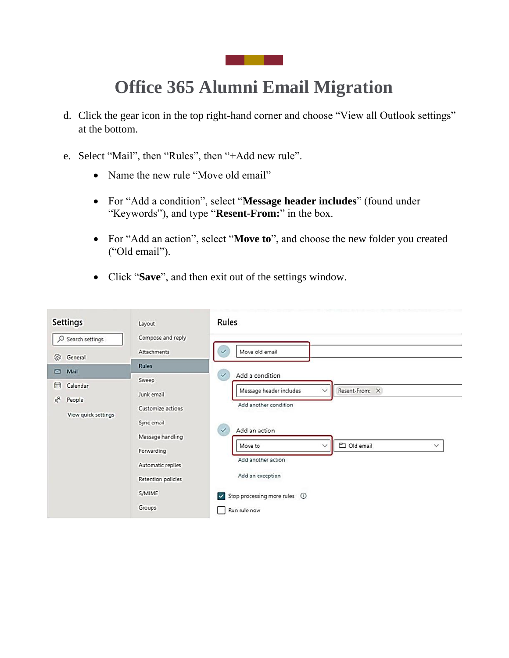<u>a sa mga sa</u>

# **Office 365 Alumni Email Migration**

- d. Click the gear icon in the top right-hand corner and choose "View all Outlook settings" at the bottom.
- e. Select "Mail", then "Rules", then "+Add new rule".
	- Name the new rule "Move old email"
	- For "Add a condition", select "**Message header includes**" (found under "Keywords"), and type "**Resent-From:**" in the box.
	- For "Add an action", select "**Move to**", and choose the new folder you created ("Old email").
	- Click "**Save**", and then exit out of the settings window.

| <b>Settings</b>                                                      | Layout                                                            | Rules                                                                                                                 |
|----------------------------------------------------------------------|-------------------------------------------------------------------|-----------------------------------------------------------------------------------------------------------------------|
| O Search settings<br>න<br>General                                    | Compose and reply<br>Attachments                                  | Move old email                                                                                                        |
| Mail<br>◘<br>茴<br>Calendar<br>$R^8$<br>People<br>View quick settings | <b>Rules</b><br>Sweep<br>Junk email<br>Customize actions          | Add a condition<br>$\checkmark$<br>Resent-From: X<br>Message header includes<br>$\checkmark$<br>Add another condition |
|                                                                      | Sync email<br>Message handling<br>Forwarding<br>Automatic replies | Add an action<br>$\checkmark$<br>D Old email<br>Move to<br>$\checkmark$<br>$\checkmark$<br>Add another action         |
|                                                                      | Retention policies<br>S/MIME<br>Groups                            | Add an exception<br>$\vee$ Stop processing more rules $\circledcirc$<br>Run rule now                                  |